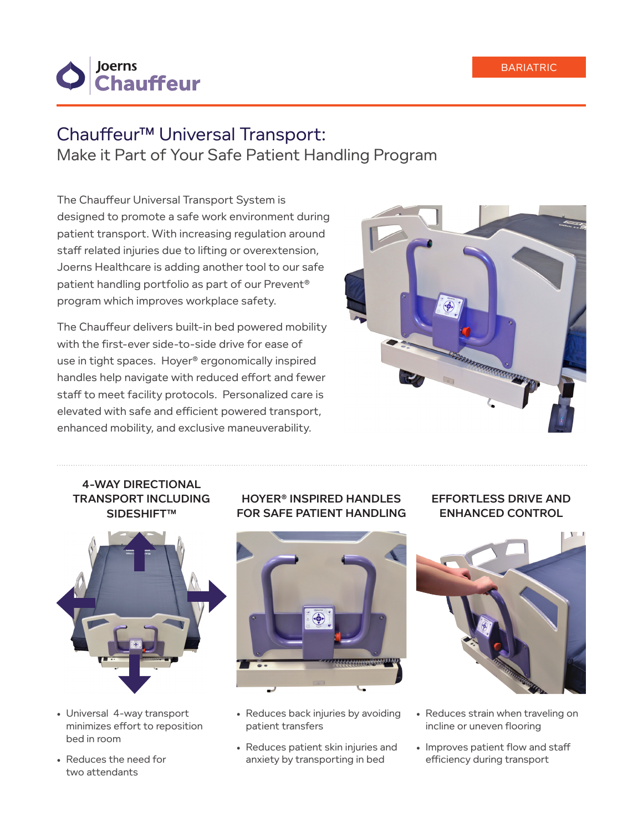

# Chauffeur™ Universal Transport:

Make it Part of Your Safe Patient Handling Program

The Chauffeur Universal Transport System is designed to promote a safe work environment during patient transport. With increasing regulation around staff related injuries due to lifting or overextension, Joerns Healthcare is adding another tool to our safe patient handling portfolio as part of our Prevent® program which improves workplace safety.

The Chauffeur delivers built-in bed powered mobility with the first-ever side-to-side drive for ease of use in tight spaces. Hoyer® ergonomically inspired handles help navigate with reduced effort and fewer staff to meet facility protocols. Personalized care is elevated with safe and efficient powered transport, enhanced mobility, and exclusive maneuverability.



### 4-WAY DIRECTIONAL TRANSPORT INCLUDING SIDESHIFT™



- Universal 4-way transport minimizes effort to reposition bed in room
- Reduces the need for two attendants

# HOYER® INSPIRED HANDLES FOR SAFE PATIENT HANDLING



- Reduces back injuries by avoiding patient transfers
- Reduces patient skin injuries and anxiety by transporting in bed

## EFFORTLESS DRIVE AND ENHANCED CONTROL



- Reduces strain when traveling on incline or uneven flooring
- Improves patient flow and staff efficiency during transport